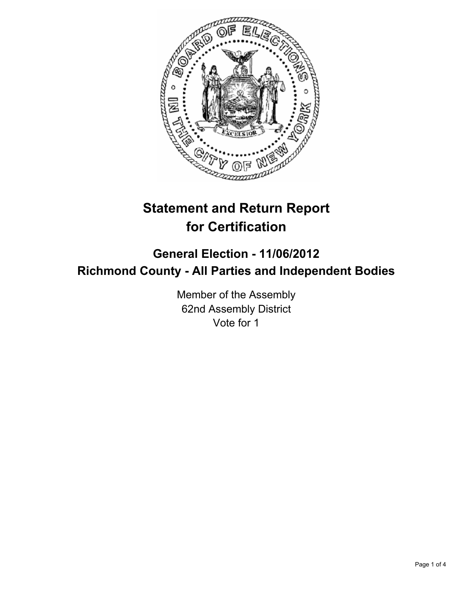

# **Statement and Return Report for Certification**

## **General Election - 11/06/2012 Richmond County - All Parties and Independent Bodies**

Member of the Assembly 62nd Assembly District Vote for 1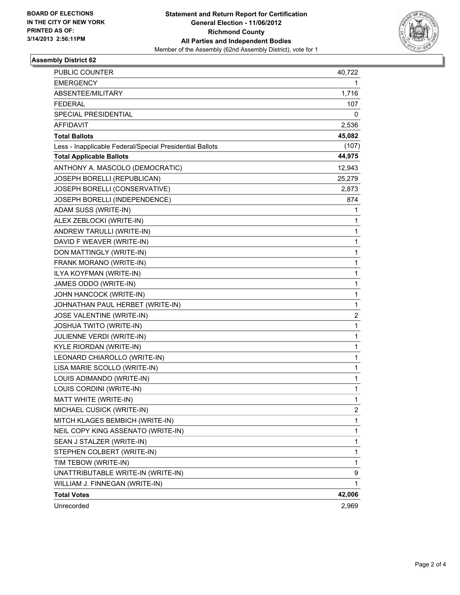

#### **Assembly District 62**

| PUBLIC COUNTER                                           | 40,722       |
|----------------------------------------------------------|--------------|
| EMERGENCY                                                | 1.           |
| ABSENTEE/MILITARY                                        | 1,716        |
| FEDERAL                                                  | 107          |
| SPECIAL PRESIDENTIAL                                     | 0            |
| <b>AFFIDAVIT</b>                                         | 2,536        |
| <b>Total Ballots</b>                                     | 45,082       |
| Less - Inapplicable Federal/Special Presidential Ballots | (107)        |
| <b>Total Applicable Ballots</b>                          | 44,975       |
| ANTHONY A. MASCOLO (DEMOCRATIC)                          | 12,943       |
| JOSEPH BORELLI (REPUBLICAN)                              | 25,279       |
| JOSEPH BORELLI (CONSERVATIVE)                            | 2,873        |
| JOSEPH BORELLI (INDEPENDENCE)                            | 874          |
| ADAM SUSS (WRITE-IN)                                     | 1            |
| ALEX ZEBLOCKI (WRITE-IN)                                 | 1            |
| ANDREW TARULLI (WRITE-IN)                                | 1            |
| DAVID F WEAVER (WRITE-IN)                                | 1            |
| DON MATTINGLY (WRITE-IN)                                 | 1            |
| FRANK MORANO (WRITE-IN)                                  | 1            |
| ILYA KOYFMAN (WRITE-IN)                                  | 1            |
| JAMES ODDO (WRITE-IN)                                    | 1            |
| JOHN HANCOCK (WRITE-IN)                                  | 1            |
| JOHNATHAN PAUL HERBET (WRITE-IN)                         | 1            |
| JOSE VALENTINE (WRITE-IN)                                | 2            |
| JOSHUA TWITO (WRITE-IN)                                  | 1            |
| JULIENNE VERDI (WRITE-IN)                                | 1            |
| KYLE RIORDAN (WRITE-IN)                                  | 1            |
| LEONARD CHIAROLLO (WRITE-IN)                             | 1            |
| LISA MARIE SCOLLO (WRITE-IN)                             | 1            |
| LOUIS ADIMANDO (WRITE-IN)                                | 1            |
| LOUIS CORDINI (WRITE-IN)                                 | 1            |
| MATT WHITE (WRITE-IN)                                    | 1            |
| MICHAEL CUSICK (WRITE-IN)                                | $\mathbf{2}$ |
| MITCH KLAGES BEMBICH (WRITE-IN)                          | 1            |
| NEIL COPY KING ASSENATO (WRITE-IN)                       | 1            |
| SEAN J STALZER (WRITE-IN)                                | 1            |
| STEPHEN COLBERT (WRITE-IN)                               | 1            |
| TIM TEBOW (WRITE-IN)                                     | 1            |
| UNATTRIBUTABLE WRITE-IN (WRITE-IN)                       | 9            |
| WILLIAM J. FINNEGAN (WRITE-IN)                           | $\mathbf 1$  |
| <b>Total Votes</b>                                       | 42,006       |
| Unrecorded                                               | 2,969        |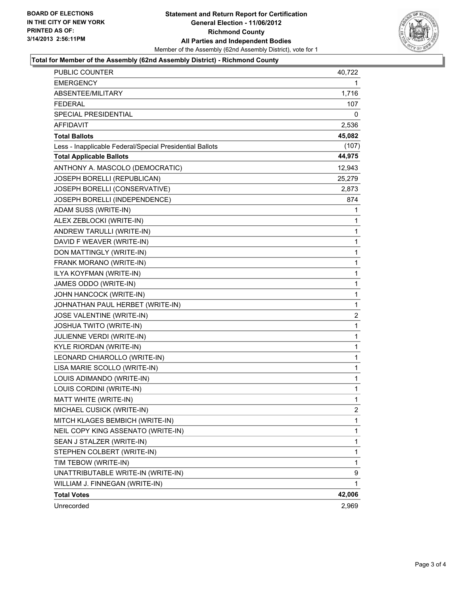#### **Statement and Return Report for Certification General Election - 11/06/2012 Richmond County All Parties and Independent Bodies** Member of the Assembly (62nd Assembly District), vote for 1



#### **Total for Member of the Assembly (62nd Assembly District) - Richmond County**

| <b>PUBLIC COUNTER</b>                                    | 40,722         |
|----------------------------------------------------------|----------------|
| EMERGENCY                                                | 1.             |
| ABSENTEE/MILITARY                                        | 1,716          |
| <b>FEDERAL</b>                                           | 107            |
| SPECIAL PRESIDENTIAL                                     | 0              |
| <b>AFFIDAVIT</b>                                         | 2,536          |
| <b>Total Ballots</b>                                     | 45,082         |
| Less - Inapplicable Federal/Special Presidential Ballots | (107)          |
| <b>Total Applicable Ballots</b>                          | 44,975         |
| ANTHONY A. MASCOLO (DEMOCRATIC)                          | 12,943         |
| JOSEPH BORELLI (REPUBLICAN)                              | 25,279         |
| JOSEPH BORELLI (CONSERVATIVE)                            | 2,873          |
| JOSEPH BORELLI (INDEPENDENCE)                            | 874            |
| ADAM SUSS (WRITE-IN)                                     | 1              |
| ALEX ZEBLOCKI (WRITE-IN)                                 | 1              |
| ANDREW TARULLI (WRITE-IN)                                | 1              |
| DAVID F WEAVER (WRITE-IN)                                | 1              |
| DON MATTINGLY (WRITE-IN)                                 | 1              |
| FRANK MORANO (WRITE-IN)                                  | 1              |
| ILYA KOYFMAN (WRITE-IN)                                  | $\mathbf{1}$   |
| JAMES ODDO (WRITE-IN)                                    | 1              |
| JOHN HANCOCK (WRITE-IN)                                  | 1              |
| JOHNATHAN PAUL HERBET (WRITE-IN)                         | 1              |
| JOSE VALENTINE (WRITE-IN)                                | $\overline{2}$ |
| JOSHUA TWITO (WRITE-IN)                                  | 1              |
| JULIENNE VERDI (WRITE-IN)                                | $\mathbf{1}$   |
| KYLE RIORDAN (WRITE-IN)                                  | 1              |
| LEONARD CHIAROLLO (WRITE-IN)                             | 1              |
| LISA MARIE SCOLLO (WRITE-IN)                             | $\mathbf{1}$   |
| LOUIS ADIMANDO (WRITE-IN)                                | 1              |
| LOUIS CORDINI (WRITE-IN)                                 | 1              |
| MATT WHITE (WRITE-IN)                                    | $\mathbf{1}$   |
| MICHAEL CUSICK (WRITE-IN)                                | $\mathbf{2}$   |
| MITCH KLAGES BEMBICH (WRITE-IN)                          | 1              |
| NEIL COPY KING ASSENATO (WRITE-IN)                       | 1              |
| SEAN J STALZER (WRITE-IN)                                | 1              |
| STEPHEN COLBERT (WRITE-IN)                               | 1              |
| TIM TEBOW (WRITE-IN)                                     | 1              |
| UNATTRIBUTABLE WRITE-IN (WRITE-IN)                       | 9              |
| WILLIAM J. FINNEGAN (WRITE-IN)                           | 1.             |
| <b>Total Votes</b>                                       | 42,006         |
| Unrecorded                                               | 2,969          |